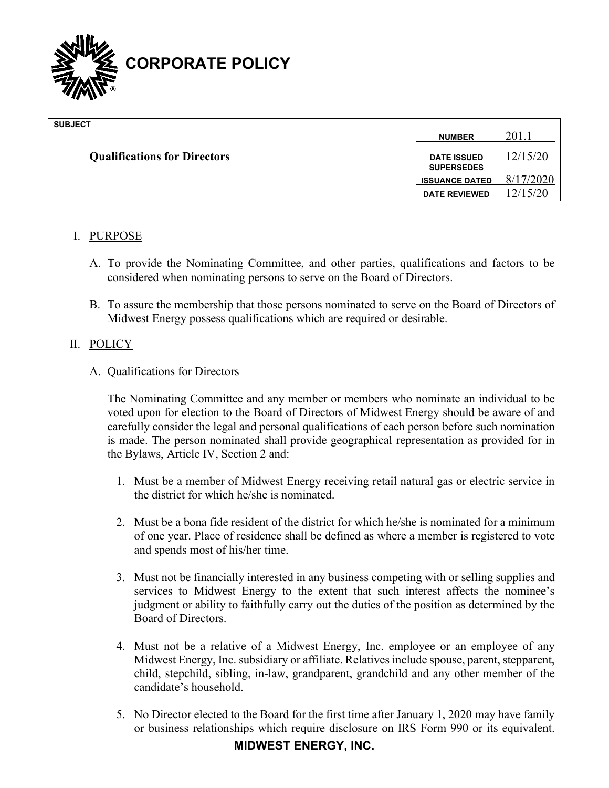

| <b>SUBJECT</b>                      |                       |           |
|-------------------------------------|-----------------------|-----------|
|                                     | <b>NUMBER</b>         | 201.      |
| <b>Qualifications for Directors</b> | <b>DATE ISSUED</b>    | 12/15/20  |
|                                     | <b>SUPERSEDES</b>     |           |
|                                     | <b>ISSUANCE DATED</b> | 8/17/2020 |
|                                     | <b>DATE REVIEWED</b>  | 12/15/20  |

## I. PURPOSE

- A. To provide the Nominating Committee, and other parties, qualifications and factors to be considered when nominating persons to serve on the Board of Directors.
- B. To assure the membership that those persons nominated to serve on the Board of Directors of Midwest Energy possess qualifications which are required or desirable.

## II. POLICY

A. Qualifications for Directors

The Nominating Committee and any member or members who nominate an individual to be voted upon for election to the Board of Directors of Midwest Energy should be aware of and carefully consider the legal and personal qualifications of each person before such nomination is made. The person nominated shall provide geographical representation as provided for in the Bylaws, Article IV, Section 2 and:

- 1. Must be a member of Midwest Energy receiving retail natural gas or electric service in the district for which he/she is nominated.
- 2. Must be a bona fide resident of the district for which he/she is nominated for a minimum of one year. Place of residence shall be defined as where a member is registered to vote and spends most of his/her time.
- 3. Must not be financially interested in any business competing with or selling supplies and services to Midwest Energy to the extent that such interest affects the nominee's judgment or ability to faithfully carry out the duties of the position as determined by the Board of Directors.
- 4. Must not be a relative of a Midwest Energy, Inc. employee or an employee of any Midwest Energy, Inc. subsidiary or affiliate. Relatives include spouse, parent, stepparent, child, stepchild, sibling, in-law, grandparent, grandchild and any other member of the candidate's household.
- 5. No Director elected to the Board for the first time after January 1, 2020 may have family or business relationships which require disclosure on IRS Form 990 or its equivalent.

## **MIDWEST ENERGY, INC.**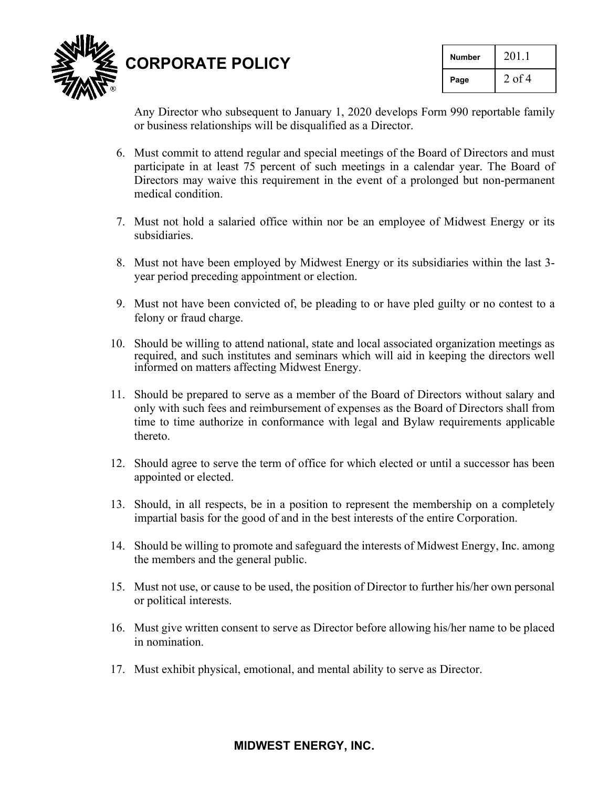

**CORPORATE POLICY**

| Number | 201.1    |
|--------|----------|
| Page   | $2$ of 4 |

Any Director who subsequent to January 1, 2020 develops Form 990 reportable family or business relationships will be disqualified as a Director.

- 6. Must commit to attend regular and special meetings of the Board of Directors and must participate in at least 75 percent of such meetings in a calendar year. The Board of Directors may waive this requirement in the event of a prolonged but non-permanent medical condition.
- 7. Must not hold a salaried office within nor be an employee of Midwest Energy or its subsidiaries.
- 8. Must not have been employed by Midwest Energy or its subsidiaries within the last 3 year period preceding appointment or election.
- 9. Must not have been convicted of, be pleading to or have pled guilty or no contest to a felony or fraud charge.
- 10. Should be willing to attend national, state and local associated organization meetings as required, and such institutes and seminars which will aid in keeping the directors well informed on matters affecting Midwest Energy.
- 11. Should be prepared to serve as a member of the Board of Directors without salary and only with such fees and reimbursement of expenses as the Board of Directors shall from time to time authorize in conformance with legal and Bylaw requirements applicable thereto.
- 12. Should agree to serve the term of office for which elected or until a successor has been appointed or elected.
- 13. Should, in all respects, be in a position to represent the membership on a completely impartial basis for the good of and in the best interests of the entire Corporation.
- 14. Should be willing to promote and safeguard the interests of Midwest Energy, Inc. among the members and the general public.
- 15. Must not use, or cause to be used, the position of Director to further his/her own personal or political interests.
- 16. Must give written consent to serve as Director before allowing his/her name to be placed in nomination.
- 17. Must exhibit physical, emotional, and mental ability to serve as Director.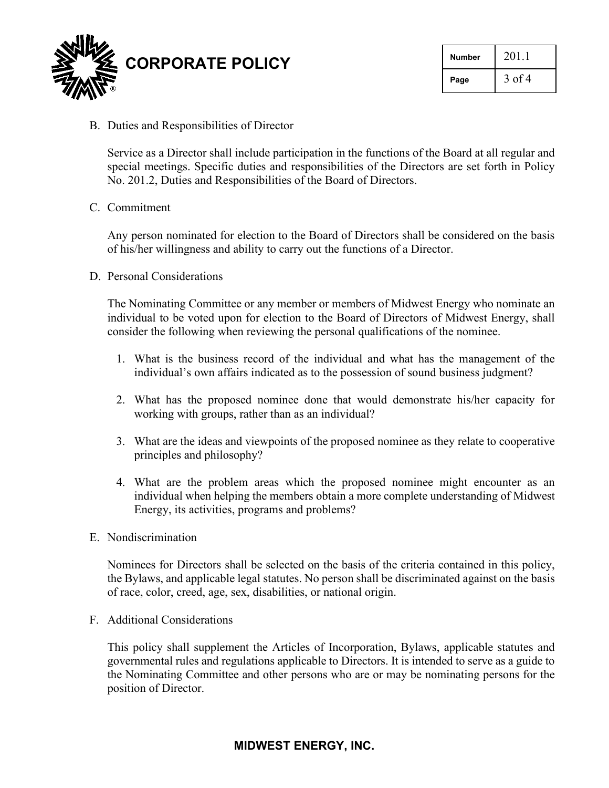

| <b>Number</b> | 201.1    |
|---------------|----------|
| Page          | $3$ of 4 |

B. Duties and Responsibilities of Director

Service as a Director shall include participation in the functions of the Board at all regular and special meetings. Specific duties and responsibilities of the Directors are set forth in Policy No. 201.2, Duties and Responsibilities of the Board of Directors.

C. Commitment

Any person nominated for election to the Board of Directors shall be considered on the basis of his/her willingness and ability to carry out the functions of a Director.

D. Personal Considerations

The Nominating Committee or any member or members of Midwest Energy who nominate an individual to be voted upon for election to the Board of Directors of Midwest Energy, shall consider the following when reviewing the personal qualifications of the nominee.

- 1. What is the business record of the individual and what has the management of the individual's own affairs indicated as to the possession of sound business judgment?
- 2. What has the proposed nominee done that would demonstrate his/her capacity for working with groups, rather than as an individual?
- 3. What are the ideas and viewpoints of the proposed nominee as they relate to cooperative principles and philosophy?
- 4. What are the problem areas which the proposed nominee might encounter as an individual when helping the members obtain a more complete understanding of Midwest Energy, its activities, programs and problems?
- E. Nondiscrimination

Nominees for Directors shall be selected on the basis of the criteria contained in this policy, the Bylaws, and applicable legal statutes. No person shall be discriminated against on the basis of race, color, creed, age, sex, disabilities, or national origin.

F. Additional Considerations

This policy shall supplement the Articles of Incorporation, Bylaws, applicable statutes and governmental rules and regulations applicable to Directors. It is intended to serve as a guide to the Nominating Committee and other persons who are or may be nominating persons for the position of Director.